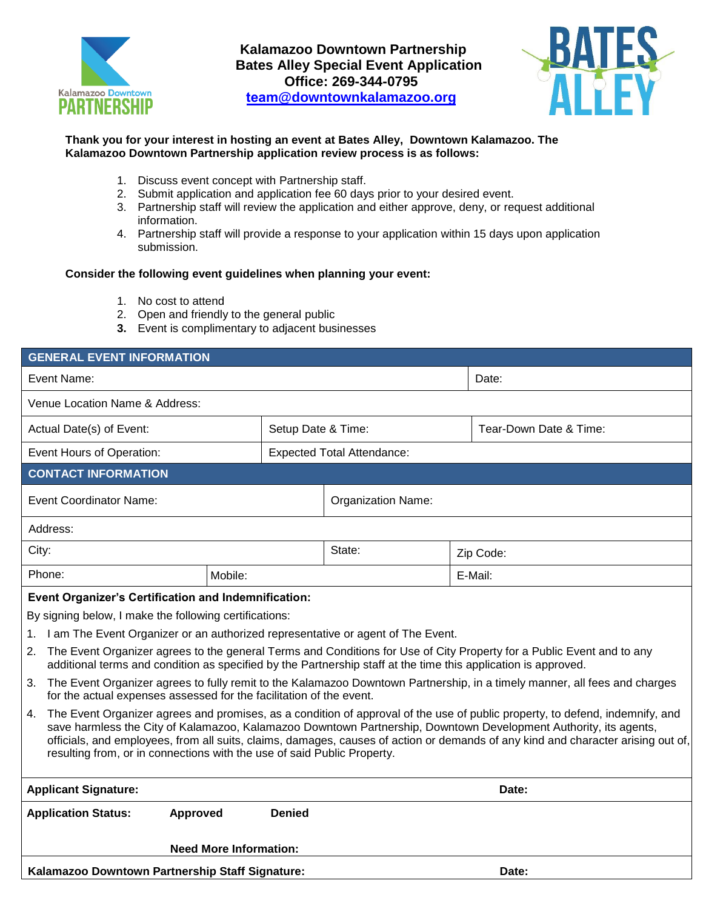

**Kalamazoo Downtown Partnership Bates Alley Special Event Application Office: 269-344-0795 team@downtownkalamazoo.org**



## **Thank you for your interest in hosting an event at Bates Alley, Downtown Kalamazoo. The Kalamazoo Downtown Partnership application review process is as follows:**

- 1. Discuss event concept with Partnership staff.
- 2. Submit application and application fee 60 days prior to your desired event.
- 3. Partnership staff will review the application and either approve, deny, or request additional information.
- 4. Partnership staff will provide a response to your application within 15 days upon application submission.

### **Consider the following event guidelines when planning your event:**

- 1. No cost to attend
- 2. Open and friendly to the general public
- **3.** Event is complimentary to adjacent businesses

| <b>GENERAL EVENT INFORMATION</b>                                                                                                                                                                                                                                                                                                                                                                                                                                      |                                                                                 |               |                                   |  |                        |  |  |
|-----------------------------------------------------------------------------------------------------------------------------------------------------------------------------------------------------------------------------------------------------------------------------------------------------------------------------------------------------------------------------------------------------------------------------------------------------------------------|---------------------------------------------------------------------------------|---------------|-----------------------------------|--|------------------------|--|--|
| Event Name:                                                                                                                                                                                                                                                                                                                                                                                                                                                           |                                                                                 |               |                                   |  | Date:                  |  |  |
| Venue Location Name & Address:                                                                                                                                                                                                                                                                                                                                                                                                                                        |                                                                                 |               |                                   |  |                        |  |  |
| Setup Date & Time:<br>Actual Date(s) of Event:                                                                                                                                                                                                                                                                                                                                                                                                                        |                                                                                 |               |                                   |  | Tear-Down Date & Time: |  |  |
| Event Hours of Operation:                                                                                                                                                                                                                                                                                                                                                                                                                                             |                                                                                 |               | <b>Expected Total Attendance:</b> |  |                        |  |  |
| <b>CONTACT INFORMATION</b>                                                                                                                                                                                                                                                                                                                                                                                                                                            |                                                                                 |               |                                   |  |                        |  |  |
| <b>Event Coordinator Name:</b>                                                                                                                                                                                                                                                                                                                                                                                                                                        |                                                                                 |               | <b>Organization Name:</b>         |  |                        |  |  |
| Address:                                                                                                                                                                                                                                                                                                                                                                                                                                                              |                                                                                 |               |                                   |  |                        |  |  |
| City:                                                                                                                                                                                                                                                                                                                                                                                                                                                                 |                                                                                 |               | State:                            |  | Zip Code:              |  |  |
| Phone:                                                                                                                                                                                                                                                                                                                                                                                                                                                                | Mobile:                                                                         |               |                                   |  | E-Mail:                |  |  |
| <b>Event Organizer's Certification and Indemnification:</b>                                                                                                                                                                                                                                                                                                                                                                                                           |                                                                                 |               |                                   |  |                        |  |  |
| By signing below, I make the following certifications:                                                                                                                                                                                                                                                                                                                                                                                                                |                                                                                 |               |                                   |  |                        |  |  |
| 1.                                                                                                                                                                                                                                                                                                                                                                                                                                                                    | I am The Event Organizer or an authorized representative or agent of The Event. |               |                                   |  |                        |  |  |
| The Event Organizer agrees to the general Terms and Conditions for Use of City Property for a Public Event and to any<br>2.<br>additional terms and condition as specified by the Partnership staff at the time this application is approved.                                                                                                                                                                                                                         |                                                                                 |               |                                   |  |                        |  |  |
| The Event Organizer agrees to fully remit to the Kalamazoo Downtown Partnership, in a timely manner, all fees and charges<br>3.<br>for the actual expenses assessed for the facilitation of the event.                                                                                                                                                                                                                                                                |                                                                                 |               |                                   |  |                        |  |  |
| The Event Organizer agrees and promises, as a condition of approval of the use of public property, to defend, indemnify, and<br>4.<br>save harmless the City of Kalamazoo, Kalamazoo Downtown Partnership, Downtown Development Authority, its agents,<br>officials, and employees, from all suits, claims, damages, causes of action or demands of any kind and character arising out of,<br>resulting from, or in connections with the use of said Public Property. |                                                                                 |               |                                   |  |                        |  |  |
| <b>Applicant Signature:</b>                                                                                                                                                                                                                                                                                                                                                                                                                                           |                                                                                 |               |                                   |  | Date:                  |  |  |
| <b>Application Status:</b><br>Approved                                                                                                                                                                                                                                                                                                                                                                                                                                |                                                                                 | <b>Denied</b> |                                   |  |                        |  |  |
|                                                                                                                                                                                                                                                                                                                                                                                                                                                                       | <b>Need More Information:</b>                                                   |               |                                   |  |                        |  |  |
| Kalamazoo Downtown Partnership Staff Signature:                                                                                                                                                                                                                                                                                                                                                                                                                       |                                                                                 |               |                                   |  | Date:                  |  |  |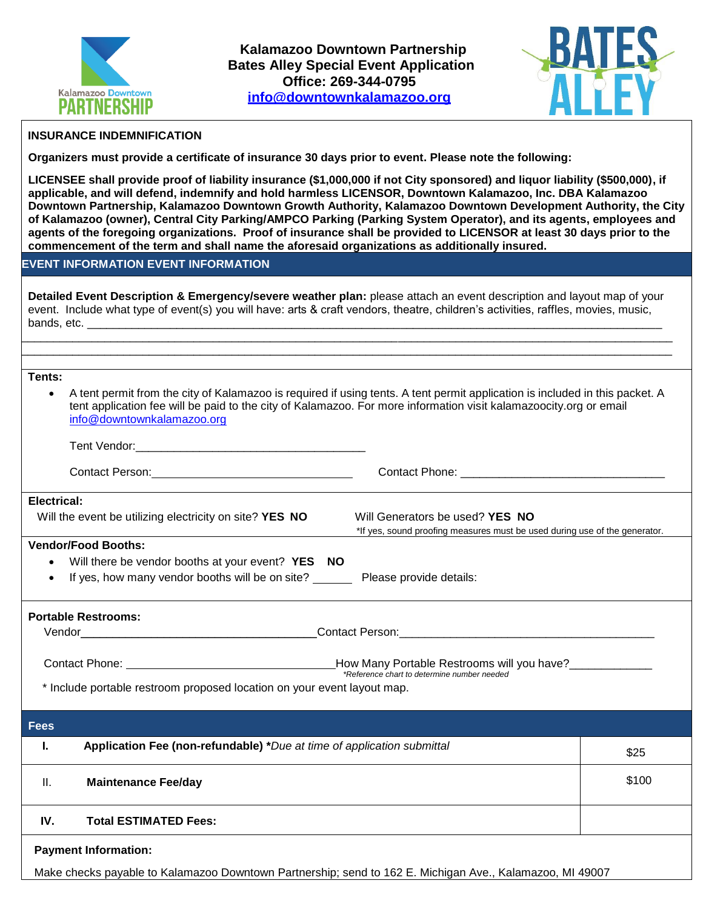



# **INSURANCE INDEMNIFICATION**

**Organizers must provide a certificate of insurance 30 days prior to event. Please note the following:**

**LICENSEE shall provide proof of liability insurance (\$1,000,000 if not City sponsored) and liquor liability (\$500,000), if applicable, and will defend, indemnify and hold harmless LICENSOR, Downtown Kalamazoo, Inc. DBA Kalamazoo Downtown Partnership, Kalamazoo Downtown Growth Authority, Kalamazoo Downtown Development Authority, the City of Kalamazoo (owner), Central City Parking/AMPCO Parking (Parking System Operator), and its agents, employees and agents of the foregoing organizations. Proof of insurance shall be provided to LICENSOR at least 30 days prior to the commencement of the term and shall name the aforesaid organizations as additionally insured.** 

## **EVENT INFORMATION EVENT INFORMATION**

**Detailed Event Description & Emergency/severe weather plan:** please attach an event description and layout map of your event. Include what type of event(s) you will have: arts & craft vendors, theatre, children's activities, raffles, movies, music, bands, etc.

\_\_\_\_\_\_\_\_\_\_\_\_\_\_\_\_\_\_\_\_\_\_\_\_\_\_\_\_\_\_\_\_\_\_\_\_\_\_\_\_\_\_\_\_\_\_\_\_\_\_\_\_\_\_\_\_\_\_\_\_\_\_\_\_\_\_\_\_\_\_\_\_\_\_\_\_\_\_\_\_\_\_\_\_\_\_\_\_\_\_\_\_\_\_\_\_\_\_\_\_\_\_ \_\_\_\_\_\_\_\_\_\_\_\_\_\_\_\_\_\_\_\_\_\_\_\_\_\_\_\_\_\_\_\_\_\_\_\_\_\_\_\_\_\_\_\_\_\_\_\_\_\_\_\_\_\_\_\_\_\_\_\_\_\_\_\_\_\_\_\_\_\_\_\_\_\_\_\_\_\_\_\_\_\_\_\_\_\_\_\_\_\_\_\_\_\_\_\_\_\_\_\_\_\_

#### **Tents:**

 A tent permit from the city of Kalamazoo is required if using tents. A tent permit application is included in this packet. A tent application fee will be paid to the city of Kalamazoo. For more information visit kalamazoocity.org or email [info@downtownkalamazoo.org](mailto:info@downtownkalamazoo.org)

| Tent Vendor:<br>$\sim$ $\sim$ |  |
|-------------------------------|--|
|                               |  |

Contact Person: Contact Phone: \_\_\_\_\_\_\_\_\_\_\_\_\_\_\_\_\_\_\_\_\_\_\_\_\_\_\_\_\_\_\_\_

Will Generators be used? **YES NO** 

\*If yes, sound proofing measures must be used during use of the generator.

### **Electrical:**

| Will the event be utilizing electricity on site? YES NO |
|---------------------------------------------------------|
|---------------------------------------------------------|

## **Vendor/Food Booths:**

- Will there be vendor booths at your event? **YES NO**
- If yes, how many vendor booths will be on site? Please provide details:

### **Portable Restrooms:**

Vendor **Example 2018** Contact Person:

| ∴ontact Phone: | How Many Portable Restrooms will you have?  |
|----------------|---------------------------------------------|
|                | *Reference chart to determine number needed |

\* Include portable restroom proposed location on your event layout map.

| <b>Fees</b> |                                                                        |       |
|-------------|------------------------------------------------------------------------|-------|
| ъ.          | Application Fee (non-refundable) *Due at time of application submittal | \$25  |
| ΙΙ.         | <b>Maintenance Fee/day</b>                                             | \$100 |
| IV.         | <b>Total ESTIMATED Fees:</b>                                           |       |
|             |                                                                        |       |

#### **Payment Information:**

Make checks payable to Kalamazoo Downtown Partnership; send to 162 E. Michigan Ave., Kalamazoo, MI 49007